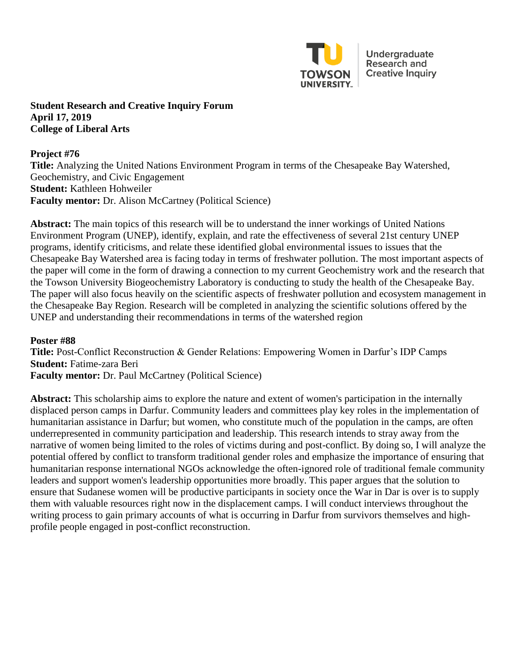

Undergraduate **Research and Creative Inquiry** 

### **Student Research and Creative Inquiry Forum April 17, 2019 College of Liberal Arts**

### **Project #76**

**Title:** Analyzing the United Nations Environment Program in terms of the Chesapeake Bay Watershed, Geochemistry, and Civic Engagement **Student:** Kathleen Hohweiler **Faculty mentor:** Dr. Alison McCartney (Political Science)

**Abstract:** The main topics of this research will be to understand the inner workings of United Nations Environment Program (UNEP), identify, explain, and rate the effectiveness of several 21st century UNEP programs, identify criticisms, and relate these identified global environmental issues to issues that the Chesapeake Bay Watershed area is facing today in terms of freshwater pollution. The most important aspects of the paper will come in the form of drawing a connection to my current Geochemistry work and the research that the Towson University Biogeochemistry Laboratory is conducting to study the health of the Chesapeake Bay. The paper will also focus heavily on the scientific aspects of freshwater pollution and ecosystem management in the Chesapeake Bay Region. Research will be completed in analyzing the scientific solutions offered by the UNEP and understanding their recommendations in terms of the watershed region

# **Poster #88**

**Title:** Post-Conflict Reconstruction & Gender Relations: Empowering Women in Darfur's IDP Camps **Student:** Fatime-zara Beri **Faculty mentor:** Dr. Paul McCartney (Political Science)

**Abstract:** This scholarship aims to explore the nature and extent of women's participation in the internally displaced person camps in Darfur. Community leaders and committees play key roles in the implementation of humanitarian assistance in Darfur; but women, who constitute much of the population in the camps, are often underrepresented in community participation and leadership. This research intends to stray away from the narrative of women being limited to the roles of victims during and post-conflict. By doing so, I will analyze the potential offered by conflict to transform traditional gender roles and emphasize the importance of ensuring that humanitarian response international NGOs acknowledge the often-ignored role of traditional female community leaders and support women's leadership opportunities more broadly. This paper argues that the solution to ensure that Sudanese women will be productive participants in society once the War in Dar is over is to supply them with valuable resources right now in the displacement camps. I will conduct interviews throughout the writing process to gain primary accounts of what is occurring in Darfur from survivors themselves and highprofile people engaged in post-conflict reconstruction.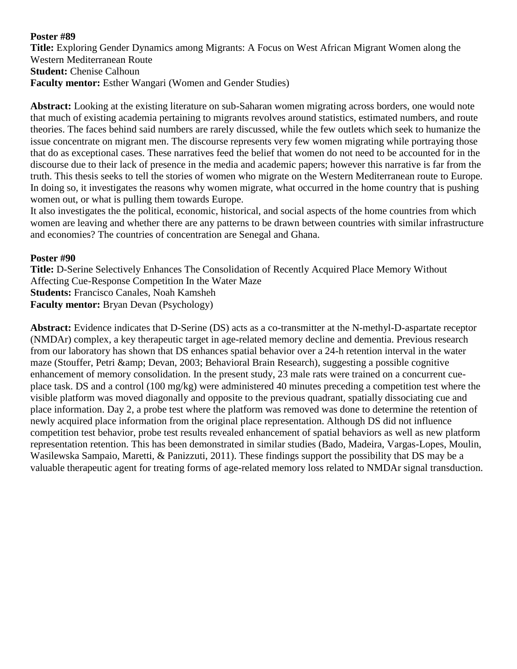### **Poster #89**

**Title:** Exploring Gender Dynamics among Migrants: A Focus on West African Migrant Women along the Western Mediterranean Route **Student:** Chenise Calhoun **Faculty mentor:** Esther Wangari (Women and Gender Studies)

**Abstract:** Looking at the existing literature on sub-Saharan women migrating across borders, one would note that much of existing academia pertaining to migrants revolves around statistics, estimated numbers, and route theories. The faces behind said numbers are rarely discussed, while the few outlets which seek to humanize the issue concentrate on migrant men. The discourse represents very few women migrating while portraying those that do as exceptional cases. These narratives feed the belief that women do not need to be accounted for in the discourse due to their lack of presence in the media and academic papers; however this narrative is far from the truth. This thesis seeks to tell the stories of women who migrate on the Western Mediterranean route to Europe. In doing so, it investigates the reasons why women migrate, what occurred in the home country that is pushing women out, or what is pulling them towards Europe.

It also investigates the the political, economic, historical, and social aspects of the home countries from which women are leaving and whether there are any patterns to be drawn between countries with similar infrastructure and economies? The countries of concentration are Senegal and Ghana.

### **Poster #90**

**Title:** D-Serine Selectively Enhances The Consolidation of Recently Acquired Place Memory Without Affecting Cue-Response Competition In the Water Maze **Students:** Francisco Canales, Noah Kamsheh **Faculty mentor:** Bryan Devan (Psychology)

**Abstract:** Evidence indicates that D-Serine (DS) acts as a co-transmitter at the N-methyl-D-aspartate receptor (NMDAr) complex, a key therapeutic target in age-related memory decline and dementia. Previous research from our laboratory has shown that DS enhances spatial behavior over a 24-h retention interval in the water maze (Stouffer, Petri & amp; Devan, 2003; Behavioral Brain Research), suggesting a possible cognitive enhancement of memory consolidation. In the present study, 23 male rats were trained on a concurrent cueplace task. DS and a control (100 mg/kg) were administered 40 minutes preceding a competition test where the visible platform was moved diagonally and opposite to the previous quadrant, spatially dissociating cue and place information. Day 2, a probe test where the platform was removed was done to determine the retention of newly acquired place information from the original place representation. Although DS did not influence competition test behavior, probe test results revealed enhancement of spatial behaviors as well as new platform representation retention. This has been demonstrated in similar studies (Bado, Madeira, Vargas-Lopes, Moulin, Wasilewska Sampaio, Maretti, & Panizzuti, 2011). These findings support the possibility that DS may be a valuable therapeutic agent for treating forms of age-related memory loss related to NMDAr signal transduction.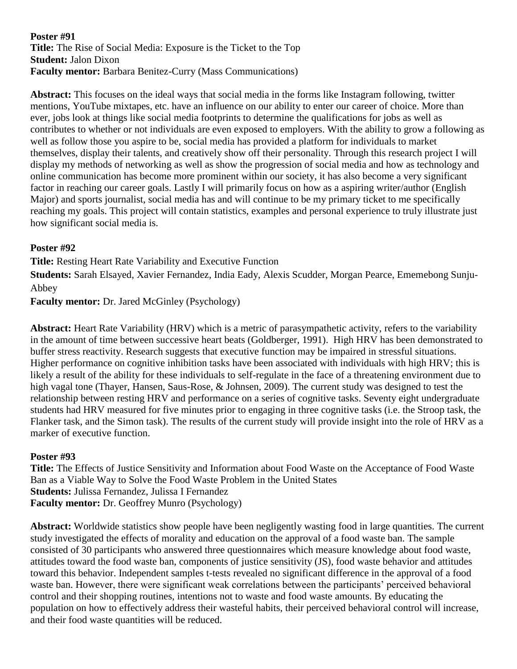### **Poster #91 Title:** The Rise of Social Media: Exposure is the Ticket to the Top **Student:** Jalon Dixon **Faculty mentor:** Barbara Benitez-Curry (Mass Communications)

**Abstract:** This focuses on the ideal ways that social media in the forms like Instagram following, twitter mentions, YouTube mixtapes, etc. have an influence on our ability to enter our career of choice. More than ever, jobs look at things like social media footprints to determine the qualifications for jobs as well as contributes to whether or not individuals are even exposed to employers. With the ability to grow a following as well as follow those you aspire to be, social media has provided a platform for individuals to market themselves, display their talents, and creatively show off their personality. Through this research project I will display my methods of networking as well as show the progression of social media and how as technology and online communication has become more prominent within our society, it has also become a very significant factor in reaching our career goals. Lastly I will primarily focus on how as a aspiring writer/author (English Major) and sports journalist, social media has and will continue to be my primary ticket to me specifically reaching my goals. This project will contain statistics, examples and personal experience to truly illustrate just how significant social media is.

# **Poster #92**

**Title:** Resting Heart Rate Variability and Executive Function

**Students:** Sarah Elsayed, Xavier Fernandez, India Eady, Alexis Scudder, Morgan Pearce, Ememebong Sunju-Abbey

**Faculty mentor:** Dr. Jared McGinley (Psychology)

**Abstract:** Heart Rate Variability (HRV) which is a metric of parasympathetic activity, refers to the variability in the amount of time between successive heart beats (Goldberger, 1991). High HRV has been demonstrated to buffer stress reactivity. Research suggests that executive function may be impaired in stressful situations. Higher performance on cognitive inhibition tasks have been associated with individuals with high HRV; this is likely a result of the ability for these individuals to self-regulate in the face of a threatening environment due to high vagal tone (Thayer, Hansen, Saus-Rose, & Johnsen, 2009). The current study was designed to test the relationship between resting HRV and performance on a series of cognitive tasks. Seventy eight undergraduate students had HRV measured for five minutes prior to engaging in three cognitive tasks (i.e. the Stroop task, the Flanker task, and the Simon task). The results of the current study will provide insight into the role of HRV as a marker of executive function.

## **Poster #93**

**Title:** The Effects of Justice Sensitivity and Information about Food Waste on the Acceptance of Food Waste Ban as a Viable Way to Solve the Food Waste Problem in the United States **Students:** Julissa Fernandez, Julissa I Fernandez **Faculty mentor:** Dr. Geoffrey Munro (Psychology)

**Abstract:** Worldwide statistics show people have been negligently wasting food in large quantities. The current study investigated the effects of morality and education on the approval of a food waste ban. The sample consisted of 30 participants who answered three questionnaires which measure knowledge about food waste, attitudes toward the food waste ban, components of justice sensitivity (JS), food waste behavior and attitudes toward this behavior. Independent samples t-tests revealed no significant difference in the approval of a food waste ban. However, there were significant weak correlations between the participants' perceived behavioral control and their shopping routines, intentions not to waste and food waste amounts. By educating the population on how to effectively address their wasteful habits, their perceived behavioral control will increase, and their food waste quantities will be reduced.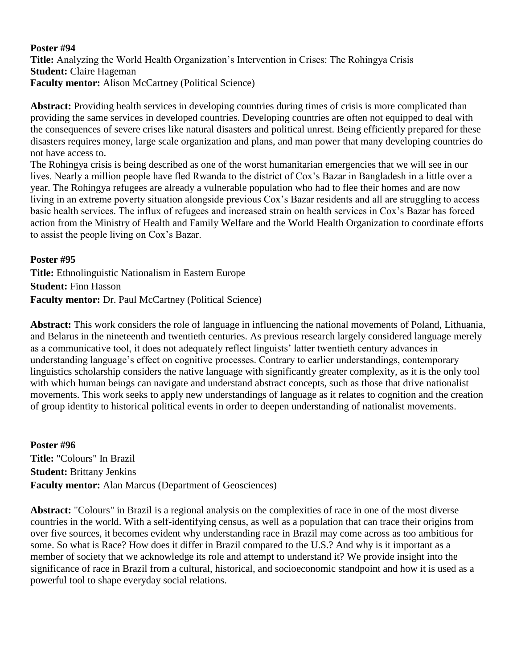### **Poster #94 Title:** Analyzing the World Health Organization's Intervention in Crises: The Rohingya Crisis **Student:** Claire Hageman **Faculty mentor:** Alison McCartney (Political Science)

**Abstract:** Providing health services in developing countries during times of crisis is more complicated than providing the same services in developed countries. Developing countries are often not equipped to deal with the consequences of severe crises like natural disasters and political unrest. Being efficiently prepared for these disasters requires money, large scale organization and plans, and man power that many developing countries do not have access to.

The Rohingya crisis is being described as one of the worst humanitarian emergencies that we will see in our lives. Nearly a million people have fled Rwanda to the district of Cox's Bazar in Bangladesh in a little over a year. The Rohingya refugees are already a vulnerable population who had to flee their homes and are now living in an extreme poverty situation alongside previous Cox's Bazar residents and all are struggling to access basic health services. The influx of refugees and increased strain on health services in Cox's Bazar has forced action from the Ministry of Health and Family Welfare and the World Health Organization to coordinate efforts to assist the people living on Cox's Bazar.

## **Poster #95**

**Title:** Ethnolinguistic Nationalism in Eastern Europe **Student:** Finn Hasson **Faculty mentor:** Dr. Paul McCartney (Political Science)

**Abstract:** This work considers the role of language in influencing the national movements of Poland, Lithuania, and Belarus in the nineteenth and twentieth centuries. As previous research largely considered language merely as a communicative tool, it does not adequately reflect linguists' latter twentieth century advances in understanding language's effect on cognitive processes. Contrary to earlier understandings, contemporary linguistics scholarship considers the native language with significantly greater complexity, as it is the only tool with which human beings can navigate and understand abstract concepts, such as those that drive nationalist movements. This work seeks to apply new understandings of language as it relates to cognition and the creation of group identity to historical political events in order to deepen understanding of nationalist movements.

**Poster #96 Title:** "Colours" In Brazil **Student:** Brittany Jenkins **Faculty mentor:** Alan Marcus (Department of Geosciences)

**Abstract:** "Colours" in Brazil is a regional analysis on the complexities of race in one of the most diverse countries in the world. With a self-identifying census, as well as a population that can trace their origins from over five sources, it becomes evident why understanding race in Brazil may come across as too ambitious for some. So what is Race? How does it differ in Brazil compared to the U.S.? And why is it important as a member of society that we acknowledge its role and attempt to understand it? We provide insight into the significance of race in Brazil from a cultural, historical, and socioeconomic standpoint and how it is used as a powerful tool to shape everyday social relations.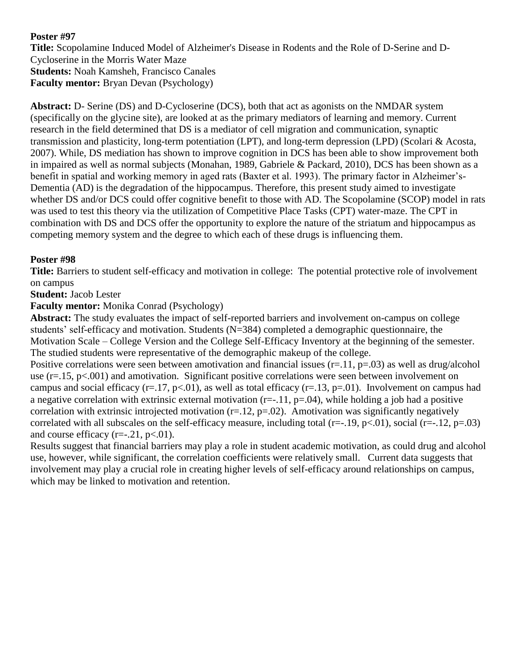# **Poster #97**

**Title:** Scopolamine Induced Model of Alzheimer's Disease in Rodents and the Role of D-Serine and D-Cycloserine in the Morris Water Maze **Students:** Noah Kamsheh, Francisco Canales **Faculty mentor:** Bryan Devan (Psychology)

**Abstract:** D- Serine (DS) and D-Cycloserine (DCS), both that act as agonists on the NMDAR system (specifically on the glycine site), are looked at as the primary mediators of learning and memory. Current research in the field determined that DS is a mediator of cell migration and communication, synaptic transmission and plasticity, long-term potentiation (LPT), and long-term depression (LPD) (Scolari & Acosta, 2007). While, DS mediation has shown to improve cognition in DCS has been able to show improvement both in impaired as well as normal subjects (Monahan, 1989, Gabriele & Packard, 2010), DCS has been shown as a benefit in spatial and working memory in aged rats (Baxter et al. 1993). The primary factor in Alzheimer's-Dementia (AD) is the degradation of the hippocampus. Therefore, this present study aimed to investigate whether DS and/or DCS could offer cognitive benefit to those with AD. The Scopolamine (SCOP) model in rats was used to test this theory via the utilization of Competitive Place Tasks (CPT) water-maze. The CPT in combination with DS and DCS offer the opportunity to explore the nature of the striatum and hippocampus as competing memory system and the degree to which each of these drugs is influencing them.

# **Poster #98**

**Title:** Barriers to student self-efficacy and motivation in college: The potential protective role of involvement on campus

# **Student:** Jacob Lester

# **Faculty mentor:** Monika Conrad (Psychology)

**Abstract:** The study evaluates the impact of self-reported barriers and involvement on-campus on college students' self-efficacy and motivation. Students (N=384) completed a demographic questionnaire, the Motivation Scale – College Version and the College Self-Efficacy Inventory at the beginning of the semester. The studied students were representative of the demographic makeup of the college.

Positive correlations were seen between amotivation and financial issues  $(r=11, p=.03)$  as well as drug/alcohol use (r=.15, p<.001) and amotivation. Significant positive correlations were seen between involvement on campus and social efficacy ( $r=17$ ,  $p<01$ ), as well as total efficacy ( $r=.13$ ,  $p=.01$ ). Involvement on campus had a negative correlation with extrinsic external motivation  $(r=-.11, p=.04)$ , while holding a job had a positive correlation with extrinsic introjected motivation ( $r=12$ ,  $p=.02$ ). Amotivation was significantly negatively correlated with all subscales on the self-efficacy measure, including total (r=-.19, p<.01), social (r=-.12, p=.03) and course efficacy  $(r=-.21, p<.01)$ .

Results suggest that financial barriers may play a role in student academic motivation, as could drug and alcohol use, however, while significant, the correlation coefficients were relatively small. Current data suggests that involvement may play a crucial role in creating higher levels of self-efficacy around relationships on campus, which may be linked to motivation and retention.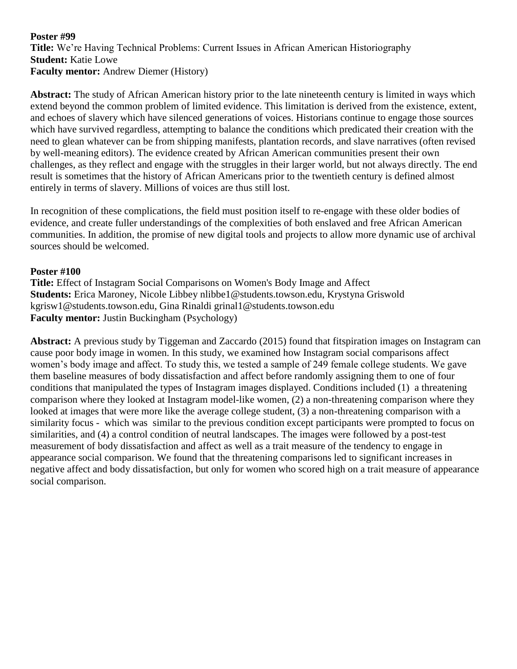### **Poster #99 Title:** We're Having Technical Problems: Current Issues in African American Historiography **Student:** Katie Lowe **Faculty mentor:** Andrew Diemer (History)

**Abstract:** The study of African American history prior to the late nineteenth century is limited in ways which extend beyond the common problem of limited evidence. This limitation is derived from the existence, extent, and echoes of slavery which have silenced generations of voices. Historians continue to engage those sources which have survived regardless, attempting to balance the conditions which predicated their creation with the need to glean whatever can be from shipping manifests, plantation records, and slave narratives (often revised by well-meaning editors). The evidence created by African American communities present their own challenges, as they reflect and engage with the struggles in their larger world, but not always directly. The end result is sometimes that the history of African Americans prior to the twentieth century is defined almost entirely in terms of slavery. Millions of voices are thus still lost.

In recognition of these complications, the field must position itself to re-engage with these older bodies of evidence, and create fuller understandings of the complexities of both enslaved and free African American communities. In addition, the promise of new digital tools and projects to allow more dynamic use of archival sources should be welcomed.

### **Poster #100**

**Title:** Effect of Instagram Social Comparisons on Women's Body Image and Affect **Students:** Erica Maroney, Nicole Libbey nlibbe1@students.towson.edu, Krystyna Griswold kgrisw1@students.towson.edu, Gina Rinaldi grinal1@students.towson.edu **Faculty mentor:** Justin Buckingham (Psychology)

**Abstract:** A previous study by Tiggeman and Zaccardo (2015) found that fitspiration images on Instagram can cause poor body image in women. In this study, we examined how Instagram social comparisons affect women's body image and affect. To study this, we tested a sample of 249 female college students. We gave them baseline measures of body dissatisfaction and affect before randomly assigning them to one of four conditions that manipulated the types of Instagram images displayed. Conditions included (1) a threatening comparison where they looked at Instagram model-like women, (2) a non-threatening comparison where they looked at images that were more like the average college student, (3) a non-threatening comparison with a similarity focus - which was similar to the previous condition except participants were prompted to focus on similarities, and (4) a control condition of neutral landscapes. The images were followed by a post-test measurement of body dissatisfaction and affect as well as a trait measure of the tendency to engage in appearance social comparison. We found that the threatening comparisons led to significant increases in negative affect and body dissatisfaction, but only for women who scored high on a trait measure of appearance social comparison.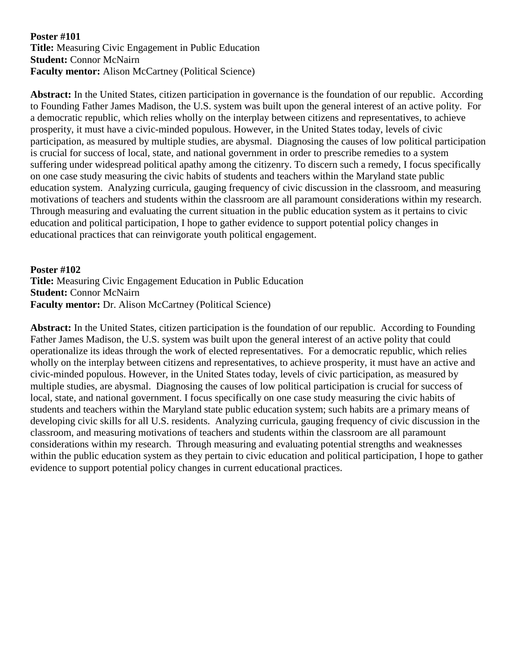#### **Poster #101 Title:** Measuring Civic Engagement in Public Education **Student:** Connor McNairn **Faculty mentor:** Alison McCartney (Political Science)

**Abstract:** In the United States, citizen participation in governance is the foundation of our republic. According to Founding Father James Madison, the U.S. system was built upon the general interest of an active polity. For a democratic republic, which relies wholly on the interplay between citizens and representatives, to achieve prosperity, it must have a civic-minded populous. However, in the United States today, levels of civic participation, as measured by multiple studies, are abysmal. Diagnosing the causes of low political participation is crucial for success of local, state, and national government in order to prescribe remedies to a system suffering under widespread political apathy among the citizenry. To discern such a remedy, I focus specifically on one case study measuring the civic habits of students and teachers within the Maryland state public education system. Analyzing curricula, gauging frequency of civic discussion in the classroom, and measuring motivations of teachers and students within the classroom are all paramount considerations within my research. Through measuring and evaluating the current situation in the public education system as it pertains to civic education and political participation, I hope to gather evidence to support potential policy changes in educational practices that can reinvigorate youth political engagement.

### **Poster #102**

**Title:** Measuring Civic Engagement Education in Public Education **Student:** Connor McNairn **Faculty mentor:** Dr. Alison McCartney (Political Science)

**Abstract:** In the United States, citizen participation is the foundation of our republic. According to Founding Father James Madison, the U.S. system was built upon the general interest of an active polity that could operationalize its ideas through the work of elected representatives. For a democratic republic, which relies wholly on the interplay between citizens and representatives, to achieve prosperity, it must have an active and civic-minded populous. However, in the United States today, levels of civic participation, as measured by multiple studies, are abysmal. Diagnosing the causes of low political participation is crucial for success of local, state, and national government. I focus specifically on one case study measuring the civic habits of students and teachers within the Maryland state public education system; such habits are a primary means of developing civic skills for all U.S. residents. Analyzing curricula, gauging frequency of civic discussion in the classroom, and measuring motivations of teachers and students within the classroom are all paramount considerations within my research. Through measuring and evaluating potential strengths and weaknesses within the public education system as they pertain to civic education and political participation, I hope to gather evidence to support potential policy changes in current educational practices.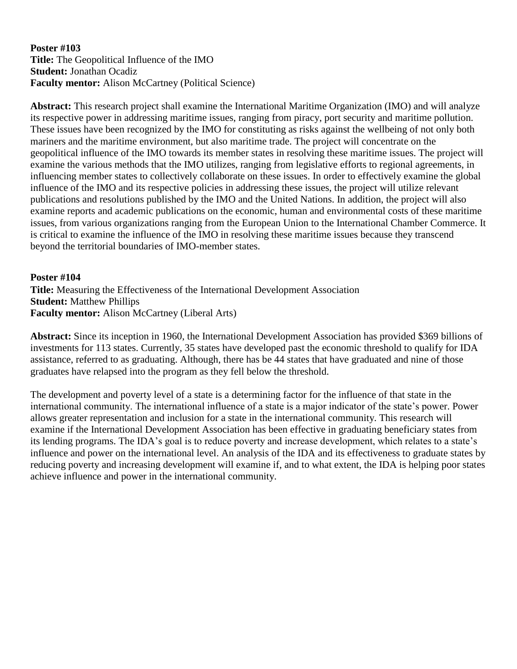## **Poster #103 Title:** The Geopolitical Influence of the IMO **Student:** Jonathan Ocadiz **Faculty mentor:** Alison McCartney (Political Science)

**Abstract:** This research project shall examine the International Maritime Organization (IMO) and will analyze its respective power in addressing maritime issues, ranging from piracy, port security and maritime pollution. These issues have been recognized by the IMO for constituting as risks against the wellbeing of not only both mariners and the maritime environment, but also maritime trade. The project will concentrate on the geopolitical influence of the IMO towards its member states in resolving these maritime issues. The project will examine the various methods that the IMO utilizes, ranging from legislative efforts to regional agreements, in influencing member states to collectively collaborate on these issues. In order to effectively examine the global influence of the IMO and its respective policies in addressing these issues, the project will utilize relevant publications and resolutions published by the IMO and the United Nations. In addition, the project will also examine reports and academic publications on the economic, human and environmental costs of these maritime issues, from various organizations ranging from the European Union to the International Chamber Commerce. It is critical to examine the influence of the IMO in resolving these maritime issues because they transcend beyond the territorial boundaries of IMO-member states.

## **Poster #104**

**Title:** Measuring the Effectiveness of the International Development Association **Student:** Matthew Phillips **Faculty mentor:** Alison McCartney (Liberal Arts)

**Abstract:** Since its inception in 1960, the International Development Association has provided \$369 billions of investments for 113 states. Currently, 35 states have developed past the economic threshold to qualify for IDA assistance, referred to as graduating. Although, there has be 44 states that have graduated and nine of those graduates have relapsed into the program as they fell below the threshold.

The development and poverty level of a state is a determining factor for the influence of that state in the international community. The international influence of a state is a major indicator of the state's power. Power allows greater representation and inclusion for a state in the international community. This research will examine if the International Development Association has been effective in graduating beneficiary states from its lending programs. The IDA's goal is to reduce poverty and increase development, which relates to a state's influence and power on the international level. An analysis of the IDA and its effectiveness to graduate states by reducing poverty and increasing development will examine if, and to what extent, the IDA is helping poor states achieve influence and power in the international community.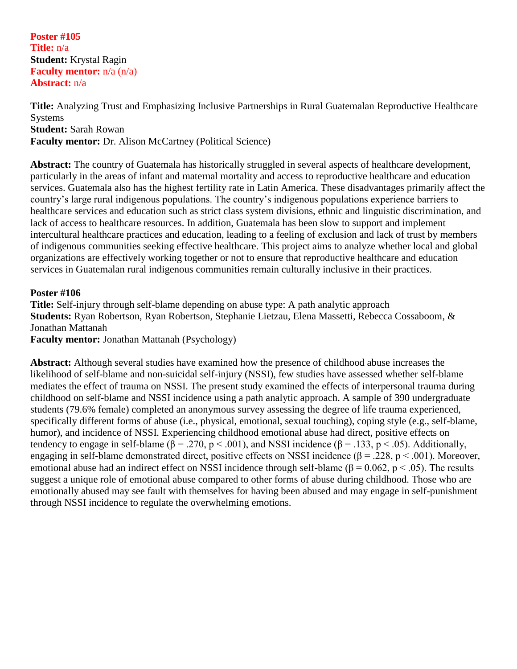**Poster #105 Title:** n/a **Student:** Krystal Ragin **Faculty mentor:** n/a (n/a) **Abstract:** n/a

**Title:** Analyzing Trust and Emphasizing Inclusive Partnerships in Rural Guatemalan Reproductive Healthcare **Systems Student:** Sarah Rowan **Faculty mentor:** Dr. Alison McCartney (Political Science)

**Abstract:** The country of Guatemala has historically struggled in several aspects of healthcare development, particularly in the areas of infant and maternal mortality and access to reproductive healthcare and education services. Guatemala also has the highest fertility rate in Latin America. These disadvantages primarily affect the country's large rural indigenous populations. The country's indigenous populations experience barriers to healthcare services and education such as strict class system divisions, ethnic and linguistic discrimination, and lack of access to healthcare resources. In addition, Guatemala has been slow to support and implement intercultural healthcare practices and education, leading to a feeling of exclusion and lack of trust by members of indigenous communities seeking effective healthcare. This project aims to analyze whether local and global organizations are effectively working together or not to ensure that reproductive healthcare and education services in Guatemalan rural indigenous communities remain culturally inclusive in their practices.

### **Poster #106**

**Title:** Self-injury through self-blame depending on abuse type: A path analytic approach **Students:** Ryan Robertson, Ryan Robertson, Stephanie Lietzau, Elena Massetti, Rebecca Cossaboom, & Jonathan Mattanah **Faculty mentor:** Jonathan Mattanah (Psychology)

**Abstract:** Although several studies have examined how the presence of childhood abuse increases the likelihood of self-blame and non-suicidal self-injury (NSSI), few studies have assessed whether self-blame mediates the effect of trauma on NSSI. The present study examined the effects of interpersonal trauma during childhood on self-blame and NSSI incidence using a path analytic approach. A sample of 390 undergraduate students (79.6% female) completed an anonymous survey assessing the degree of life trauma experienced, specifically different forms of abuse (i.e., physical, emotional, sexual touching), coping style (e.g., self-blame, humor), and incidence of NSSI. Experiencing childhood emotional abuse had direct, positive effects on tendency to engage in self-blame ( $\beta = .270$ ,  $p < .001$ ), and NSSI incidence ( $\beta = .133$ ,  $p < .05$ ). Additionally, engaging in self-blame demonstrated direct, positive effects on NSSI incidence ( $\beta = .228$ ,  $p < .001$ ). Moreover, emotional abuse had an indirect effect on NSSI incidence through self-blame ( $\beta = 0.062$ ,  $p < .05$ ). The results suggest a unique role of emotional abuse compared to other forms of abuse during childhood. Those who are emotionally abused may see fault with themselves for having been abused and may engage in self-punishment through NSSI incidence to regulate the overwhelming emotions.